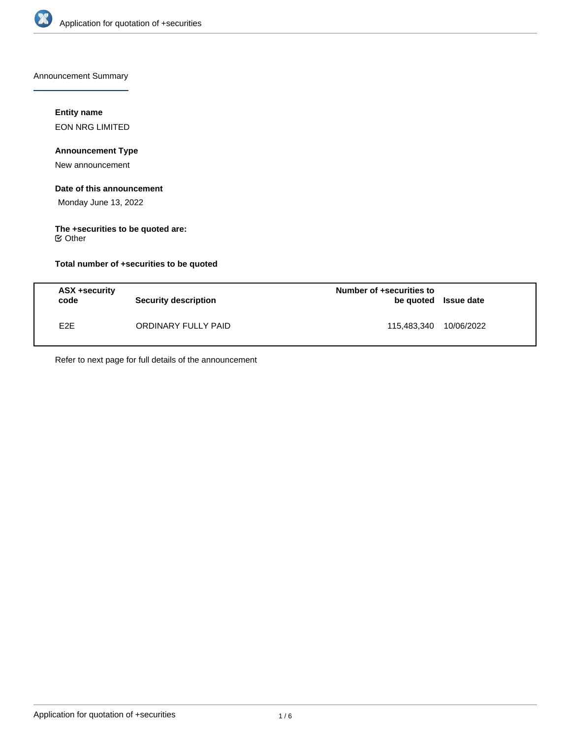

Announcement Summary

# **Entity name**

EON NRG LIMITED

# **Announcement Type**

New announcement

#### **Date of this announcement**

Monday June 13, 2022

# **The +securities to be quoted are:**

Other

# **Total number of +securities to be quoted**

| ASX +security<br>code | <b>Security description</b> | Number of +securities to<br>be quoted Issue date |            |
|-----------------------|-----------------------------|--------------------------------------------------|------------|
| E <sub>2</sub> E      | ORDINARY FULLY PAID         | 115.483.340                                      | 10/06/2022 |

Refer to next page for full details of the announcement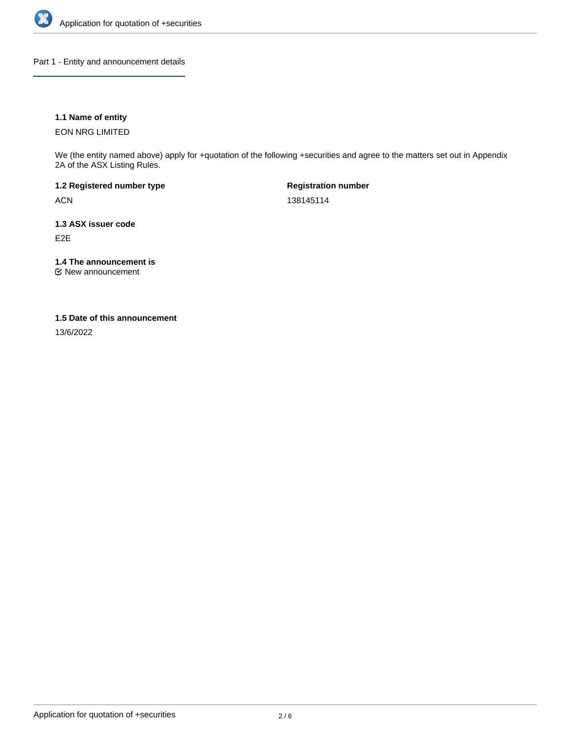

Part 1 - Entity and announcement details

# **1.1 Name of entity**

EON NRG LIMITED

We (the entity named above) apply for +quotation of the following +securities and agree to the matters set out in Appendix 2A of the ASX Listing Rules.

**1.2 Registered number type** ACN

**Registration number** 138145114

**1.3 ASX issuer code** E2E

**1.4 The announcement is**

New announcement

## **1.5 Date of this announcement**

13/6/2022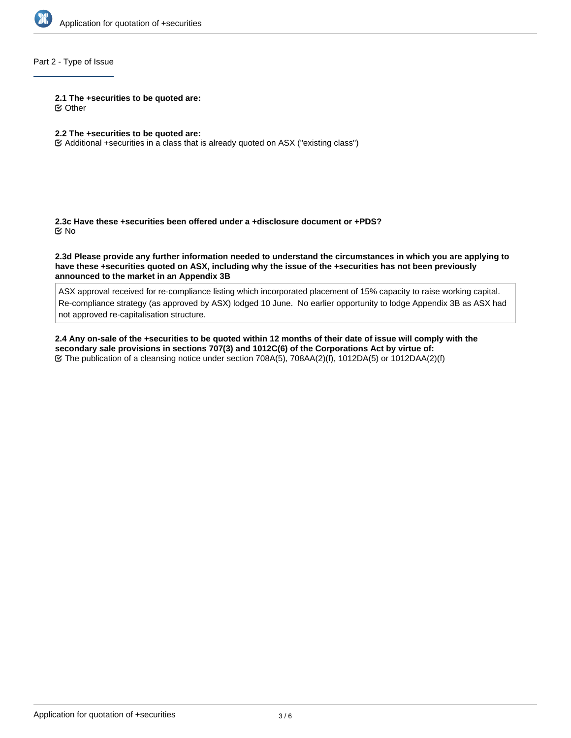

# Part 2 - Type of Issue

#### **2.1 The +securities to be quoted are:**

Other

#### **2.2 The +securities to be quoted are:**

Additional +securities in a class that is already quoted on ASX ("existing class")

**2.3c Have these +securities been offered under a +disclosure document or +PDS?** No

**2.3d Please provide any further information needed to understand the circumstances in which you are applying to have these +securities quoted on ASX, including why the issue of the +securities has not been previously announced to the market in an Appendix 3B**

ASX approval received for re-compliance listing which incorporated placement of 15% capacity to raise working capital. Re-compliance strategy (as approved by ASX) lodged 10 June. No earlier opportunity to lodge Appendix 3B as ASX had not approved re-capitalisation structure.

**2.4 Any on-sale of the +securities to be quoted within 12 months of their date of issue will comply with the secondary sale provisions in sections 707(3) and 1012C(6) of the Corporations Act by virtue of:** The publication of a cleansing notice under section 708A(5), 708AA(2)(f), 1012DA(5) or 1012DAA(2)(f)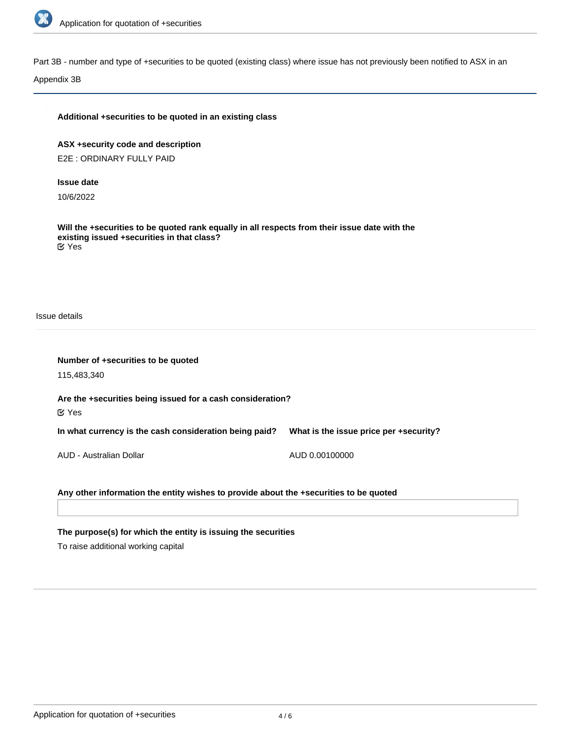

Part 3B - number and type of +securities to be quoted (existing class) where issue has not previously been notified to ASX in an

Appendix 3B

| Additional +securities to be quoted in an existing class                                                                                                          |                                        |
|-------------------------------------------------------------------------------------------------------------------------------------------------------------------|----------------------------------------|
| ASX +security code and description                                                                                                                                |                                        |
| E2E: ORDINARY FULLY PAID                                                                                                                                          |                                        |
| <b>Issue date</b>                                                                                                                                                 |                                        |
| 10/6/2022                                                                                                                                                         |                                        |
| Will the +securities to be quoted rank equally in all respects from their issue date with the<br>existing issued +securities in that class?<br>$\mathfrak{C}$ Yes |                                        |
| Issue details                                                                                                                                                     |                                        |
| Number of +securities to be quoted                                                                                                                                |                                        |
| 115,483,340                                                                                                                                                       |                                        |
| Are the +securities being issued for a cash consideration?                                                                                                        |                                        |
| $\mathfrak{C}$ Yes                                                                                                                                                |                                        |
| In what currency is the cash consideration being paid?                                                                                                            | What is the issue price per +security? |
| AUD - Australian Dollar                                                                                                                                           | AUD 0.00100000                         |
|                                                                                                                                                                   |                                        |
| Any other information the entity wishes to provide about the +securities to be quoted                                                                             |                                        |

**The purpose(s) for which the entity is issuing the securities**

To raise additional working capital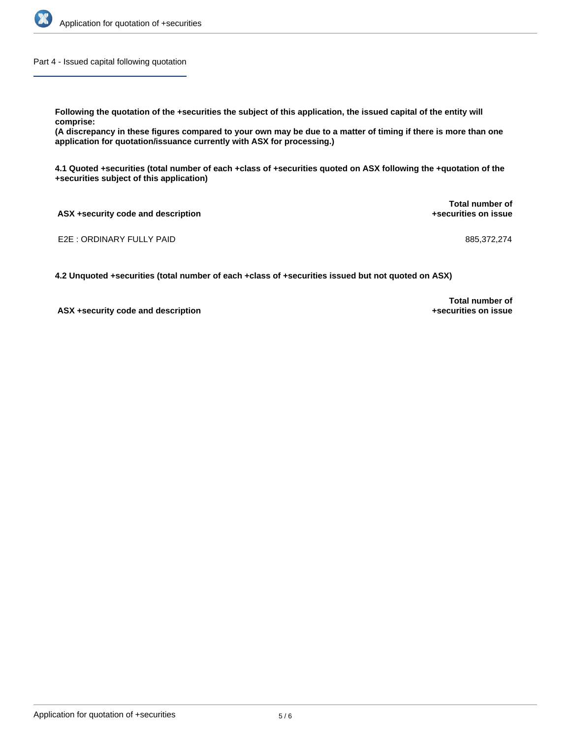

Part 4 - Issued capital following quotation

**Following the quotation of the +securities the subject of this application, the issued capital of the entity will comprise:**

**(A discrepancy in these figures compared to your own may be due to a matter of timing if there is more than one application for quotation/issuance currently with ASX for processing.)**

**4.1 Quoted +securities (total number of each +class of +securities quoted on ASX following the +quotation of the +securities subject of this application)**

**ASX +security code and description Total number of +securities on issue**

E2E : ORDINARY FULLY PAID 885,372,274

**4.2 Unquoted +securities (total number of each +class of +securities issued but not quoted on ASX)**

**ASX +security code and description**

**Total number of +securities on issue**